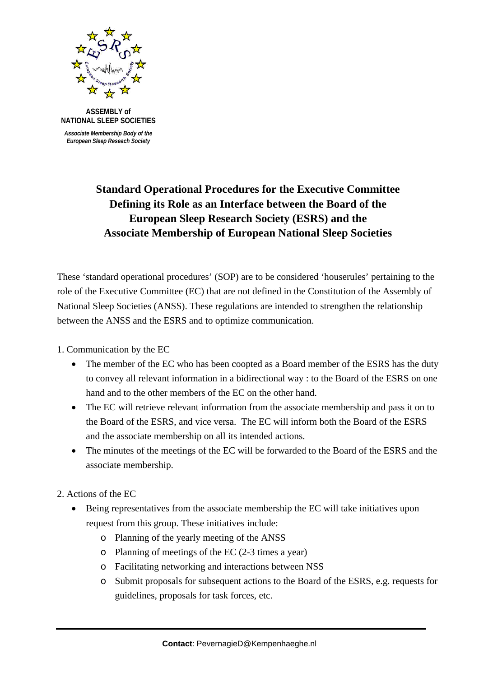

 **ASSEMBLY of NATIONAL SLEEP SOCIETIES**   *Associate Membership Body of the*

 *European Sleep Reseach Society*

## **Standard Operational Procedures for the Executive Committee Defining its Role as an Interface between the Board of the European Sleep Research Society (ESRS) and the Associate Membership of European National Sleep Societies**

These 'standard operational procedures' (SOP) are to be considered 'houserules' pertaining to the role of the Executive Committee (EC) that are not defined in the Constitution of the Assembly of National Sleep Societies (ANSS). These regulations are intended to strengthen the relationship between the ANSS and the ESRS and to optimize communication.

1. Communication by the EC

- The member of the EC who has been coopted as a Board member of the ESRS has the duty to convey all relevant information in a bidirectional way : to the Board of the ESRS on one hand and to the other members of the EC on the other hand.
- The EC will retrieve relevant information from the associate membership and pass it on to the Board of the ESRS, and vice versa. The EC will inform both the Board of the ESRS and the associate membership on all its intended actions.
- The minutes of the meetings of the EC will be forwarded to the Board of the ESRS and the associate membership.
- 2. Actions of the EC
	- Being representatives from the associate membership the EC will take initiatives upon request from this group. These initiatives include:
		- o Planning of the yearly meeting of the ANSS
		- o Planning of meetings of the EC (2-3 times a year)
		- o Facilitating networking and interactions between NSS
		- o Submit proposals for subsequent actions to the Board of the ESRS, e.g. requests for guidelines, proposals for task forces, etc.